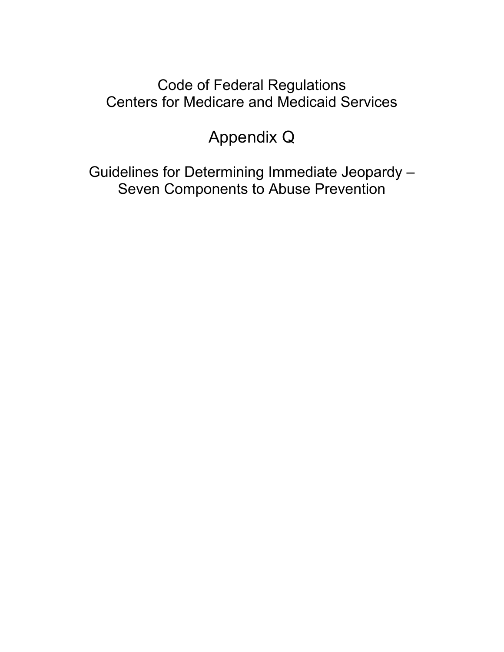### Code of Federal Regulations Centers for Medicare and Medicaid Services

### Appendix Q

Guidelines for Determining Immediate Jeopardy – Seven Components to Abuse Prevention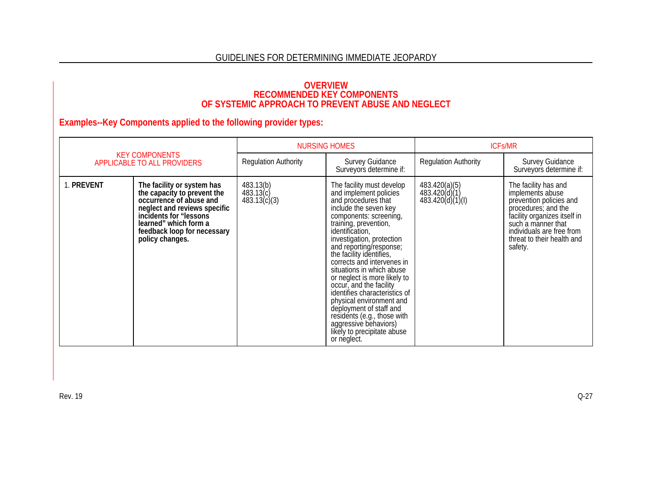#### GUIDELINES FOR DETERMINING IMMEDIATE JEOPARDY

# OVERVIEW<br>RECOMMENDED KEY COMPONENTS<br>OF SYSTEMIC APPROACH TO PREVENT ABUSE AND NEGLECT

| <b>KEY COMPONENTS</b><br>APPLICABLE TO ALL PROVIDERS |                                                                                                                                                                                                                            | <b>NURSING HOMES</b>                   |                                                                                                                                                                                                                                                                                                                                                                                                                                                                                                                                                                                   | <b>ICFs/MR</b>                                     |                                                                                                                                                                                                                        |
|------------------------------------------------------|----------------------------------------------------------------------------------------------------------------------------------------------------------------------------------------------------------------------------|----------------------------------------|-----------------------------------------------------------------------------------------------------------------------------------------------------------------------------------------------------------------------------------------------------------------------------------------------------------------------------------------------------------------------------------------------------------------------------------------------------------------------------------------------------------------------------------------------------------------------------------|----------------------------------------------------|------------------------------------------------------------------------------------------------------------------------------------------------------------------------------------------------------------------------|
|                                                      |                                                                                                                                                                                                                            | <b>Regulation Authority</b>            | <b>Survey Guidance</b><br>Surveyor's determine if:                                                                                                                                                                                                                                                                                                                                                                                                                                                                                                                                | <b>Regulation Authority</b>                        | <b>Survey Guidance</b><br>Surveyors determine if:                                                                                                                                                                      |
| 1. PREVENT                                           | The facility or system has<br>the capacity to prevent the<br>occurrence of abuse and<br>neglect and reviews specific<br>incidents for "lessons"<br>learned" which form a<br>feedback loop for necessary<br>policy changes. | 483.13(b)<br>483.13(c)<br>483.13(c)(3) | The facility must develop<br>and implement policies<br>and procedures that<br>include the seven key<br>components: screening,<br>training, prevention,<br>identification,<br>investigation, protection<br>and reporting/response;<br>the facility identifies,<br>corrects and intervenes in<br>situations in which abuse<br>or neglect is more likely to<br>occur, and the facility<br>identifies characteristics of<br>physical environment and<br>deployment of staff and<br>residents (e.g., those with<br>aggressive behaviors)<br>likely to precipitate abuse<br>or neglect. | 483.420(a)(5)<br>483.420(d)(1)<br>483.420(d)(1)(I) | The facility has and<br>implements abuse<br>prevention policies and<br>procedures; and the<br>facility organizes itself in<br>such a manner that<br>individuals are free from<br>threat to their health and<br>safety. |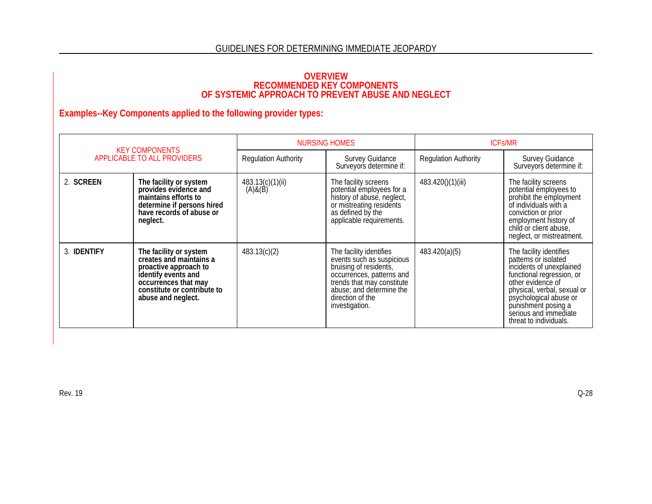### OVERVIEW<br>RECOMMENDED KEY COMPONENTS<br>OF SYSTEMIC APPROACH TO PREVENT ABUSE AND NEGLECT

| <b>KEY COMPONENTS</b><br>APPLICABLE TO ALL PROVIDERS |                                                                                                                                                                                | <b>NURSING HOMES</b>        |                                                                                                                                                                                                             | <b>ICFs/MR</b>              |                                                                                                                                                                                                                                                                  |
|------------------------------------------------------|--------------------------------------------------------------------------------------------------------------------------------------------------------------------------------|-----------------------------|-------------------------------------------------------------------------------------------------------------------------------------------------------------------------------------------------------------|-----------------------------|------------------------------------------------------------------------------------------------------------------------------------------------------------------------------------------------------------------------------------------------------------------|
|                                                      |                                                                                                                                                                                | <b>Regulation Authority</b> | <b>Survey Guidance</b><br>Surveyor's determine if:                                                                                                                                                          | <b>Regulation Authority</b> | <b>Survey Guidance</b><br>Surveyors determine if:                                                                                                                                                                                                                |
| 2. SCREEN                                            | The facility or system<br>provides evidence and<br>maintains efforts to<br>determine if persons hired<br>have records of abuse or<br>neglect.                                  | 483.13(c)(1)(ii)<br>(A)&(B) | The facility screens<br>potential employees for a<br>history of abuse, neglect,<br>or mistreating residents<br>as defined by the<br>applicable requirements.                                                | 483.420()(1)(iii)           | The facility screens<br>potential employees to<br>prohibit the employment<br>of individuals with a<br>conviction or prior<br>employment history of<br>child or client abuse,<br>neglect, or mistreatment.                                                        |
| 3. <b>IDENTIFY</b>                                   | The facility or system<br>creates and maintains a<br>proactive approach to<br>identify events and<br>occurrences that may<br>constitute or contribute to<br>abuse and neglect. | 483.13(c)(2)                | The facility identifies<br>events such as suspicious<br>bruising of residents,<br>occurrences, patterns and<br>trends that may constitute<br>abuse; and determine the<br>direction of the<br>investigation. | 483.420(a)(5)               | The facility identifies<br>patterns or isolated<br>incidents of unexplained<br>functional regression, or<br>other evidence of<br>physical, verbal, sexual or<br>psychological abuse or<br>punishment posing a<br>serious and immediate<br>threat to individuals. |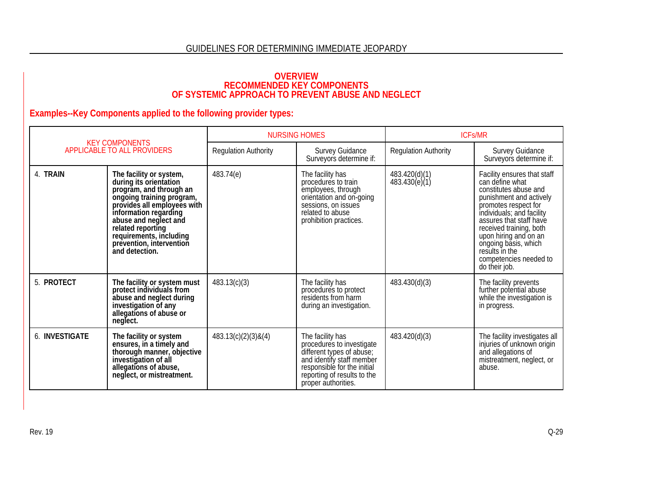# OVERVIEW<br>RECOMMENDED KEY COMPONENTS<br>OF SYSTEMIC APPROACH TO PREVENT ABUSE AND NEGLECT

| <b>KEY COMPONENTS</b><br>APPLICABLE TO ALL PROVIDERS |                                                                                                                                                                                                                                                                                          | <b>NURSING HOMES</b>        |                                                                                                                                                                                              | <b>ICFS/MR</b>                 |                                                                                                                                                                                                                                                                                                                             |
|------------------------------------------------------|------------------------------------------------------------------------------------------------------------------------------------------------------------------------------------------------------------------------------------------------------------------------------------------|-----------------------------|----------------------------------------------------------------------------------------------------------------------------------------------------------------------------------------------|--------------------------------|-----------------------------------------------------------------------------------------------------------------------------------------------------------------------------------------------------------------------------------------------------------------------------------------------------------------------------|
|                                                      |                                                                                                                                                                                                                                                                                          | <b>Regulation Authority</b> | <b>Survey Guidance</b><br>Surveyor's determine if:                                                                                                                                           | <b>Regulation Authority</b>    | Survey Guidance<br>Surveyors determine if:                                                                                                                                                                                                                                                                                  |
| 4. TRAIN                                             | The facility or system,<br>during its orientation<br>program, and through an<br>ongoing training program,<br>provides all employees with<br>information regarding<br>abuse and neglect and<br>related reporting<br>requirements, including<br>prevention, intervention<br>and detection. | 483.74(e)                   | The facility has<br>procedures to train<br>employees, through<br>orientation and on-going<br>sessions, on issues<br>related to abuse<br>prohibition practices.                               | 483.420(d)(1)<br>483.430(e)(1) | Facility ensures that staff<br>can define what<br>constitutes abuse and<br>punishment and actively<br>promotes respect for<br>individuals; and facility<br>assures that staff have<br>received training, both<br>upon hiring and on an<br>ongoing basis, which<br>results in the<br>competencies needed to<br>do their job. |
| 5. PROTECT                                           | The facility or system must<br>protect individuals from<br>abuse and neglect during<br>investigation of any<br>allegations of abuse or<br>neglect.                                                                                                                                       | 483.13(c)(3)                | The facility has<br>procedures to protect<br>residents from harm<br>during an investigation.                                                                                                 | 483.430(d)(3)                  | The facility prevents<br>further potential abuse<br>while the investigation is<br>in progress.                                                                                                                                                                                                                              |
| 6. INVESTIGATE                                       | The facility or system<br>ensures, in a timely and<br>thorough manner, objective<br>investigation of all<br>allegations of abuse,<br>neglect, or mistreatment.                                                                                                                           | 483.13(c)(2)(3) & (4)       | The facility has<br>procedures to investigate<br>different types of abuse;<br>and identify staff member<br>responsiblé for the initial<br>reporting of results to the<br>proper authorities. | 483.420(d)(3)                  | The facility investigates all<br>injuries of unknown origin<br>and allegations of<br>mistreatment, neglect, or<br>abuse.                                                                                                                                                                                                    |